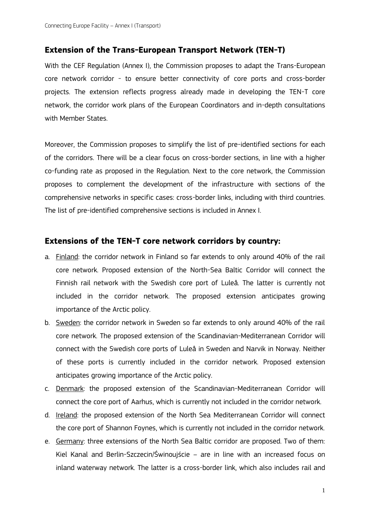## **Extension of the Trans-European Transport Network (TEN-T)**

With the CEF Regulation (Annex I), the Commission proposes to adapt the Trans-European core network corridor - to ensure better connectivity of core ports and cross-border projects. The extension reflects progress already made in developing the TEN-T core network, the corridor work plans of the European Coordinators and in-depth consultations with Member States.

Moreover, the Commission proposes to simplify the list of pre-identified sections for each of the corridors. There will be a clear focus on cross-border sections, in line with a higher co-funding rate as proposed in the Regulation. Next to the core network, the Commission proposes to complement the development of the infrastructure with sections of the comprehensive networks in specific cases: cross-border links, including with third countries. The list of pre-identified comprehensive sections is included in Annex I.

## **Extensions of the TEN-T core network corridors by country:**

- a. Finland: the corridor network in Finland so far extends to only around 40% of the rail core network. Proposed extension of the North-Sea Baltic Corridor will connect the Finnish rail network with the Swedish core port of Luleå. The latter is currently not included in the corridor network. The proposed extension anticipates growing importance of the Arctic policy.
- b. Sweden: the corridor network in Sweden so far extends to only around 40% of the rail core network. The proposed extension of the Scandinavian-Mediterranean Corridor will connect with the Swedish core ports of Luleå in Sweden and Narvik in Norway. Neither of these ports is currently included in the corridor network. Proposed extension anticipates growing importance of the Arctic policy.
- c. Denmark: the proposed extension of the Scandinavian-Mediterranean Corridor will connect the core port of Aarhus, which is currently not included in the corridor network.
- d. Ireland: the proposed extension of the North Sea Mediterranean Corridor will connect the core port of Shannon Foynes, which is currently not included in the corridor network.
- e. Germany: three extensions of the North Sea Baltic corridor are proposed. Two of them: Kiel Kanal and Berlin-Szczecin/Świnoujście – are in line with an increased focus on inland waterway network. The latter is a cross-border link, which also includes rail and